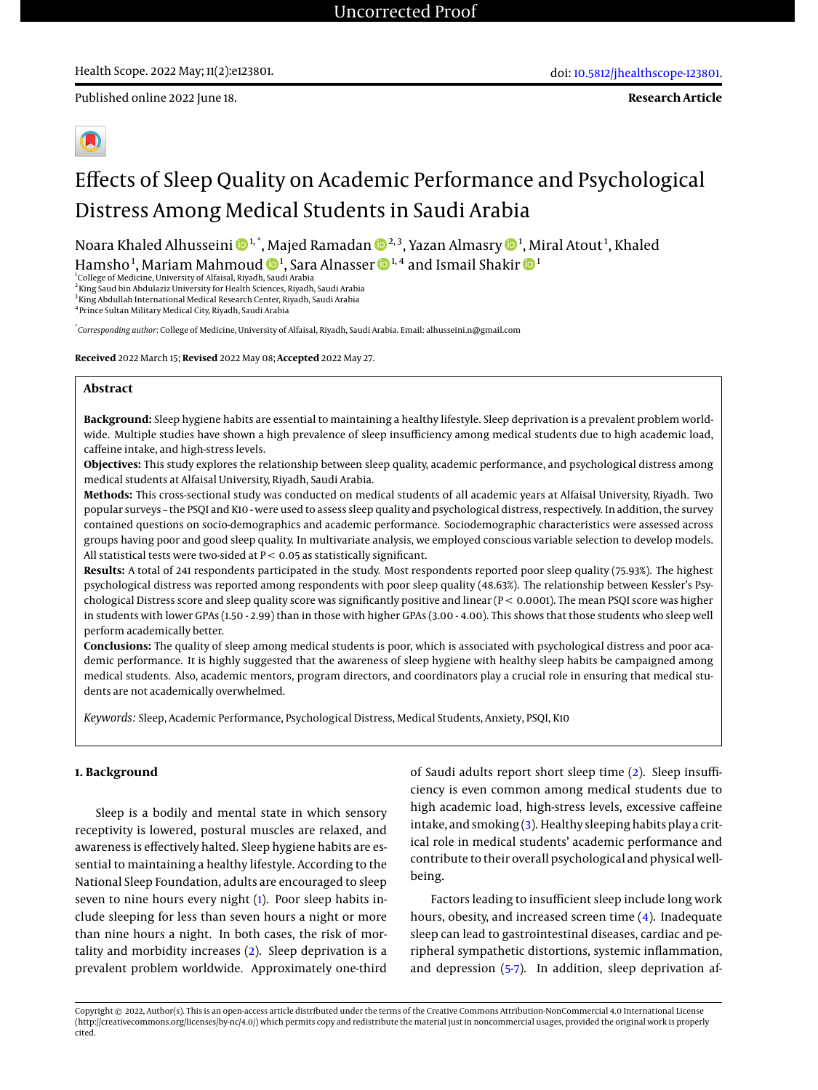Published online 2022 June 18.

**Research Article**



# Effects of Sleep Quality on Academic Performance and Psychological Distress Among Medical Students in Saudi Arabia

Noara Khaled Alhusseini �����, Majed Ramadan �����, Yazan Almasry ���, Miral Atout $^1$ , Khaled Hamsho<sup>[1](https://orcid.org/0000-0002-3270-6337)</sup>, Mariam Mahmoud  $\mathbf{D}^1$ , Sara Alnasser  $\mathbf{D}^{1,4}$  and Ismail Shakir  $\mathbf{D}^1$ 

<sup>1</sup>College of Medicine, University of Alfaisal, Riyadh, Saudi Arabia<br><sup>2</sup>King Saud bin Abdulaziz University for Health Sciences, Riyadh, Saudi Arabia

<sup>3</sup>King Abdullah International Medical Research Center, Riyadh, Saudi Arabia

4 Prince Sultan Military Medical City, Riyadh, Saudi Arabia

\* *Corresponding author*: College of Medicine, University of Alfaisal, Riyadh, Saudi Arabia. Email: alhusseini.n@gmail.com

**Received** 2022 March 15; **Revised** 2022 May 08; **Accepted** 2022 May 27.

#### **Abstract**

**Background:** Sleep hygiene habits are essential to maintaining a healthy lifestyle. Sleep deprivation is a prevalent problem worldwide. Multiple studies have shown a high prevalence of sleep insufficiency among medical students due to high academic load, caffeine intake, and high-stress levels.

**Objectives:** This study explores the relationship between sleep quality, academic performance, and psychological distress among medical students at Alfaisal University, Riyadh, Saudi Arabia.

**Methods:** This cross-sectional study was conducted on medical students of all academic years at Alfaisal University, Riyadh. Two popular surveys – the PSQI and K10 - were used to assess sleep quality and psychological distress, respectively. In addition, the survey contained questions on socio-demographics and academic performance. Sociodemographic characteristics were assessed across groups having poor and good sleep quality. In multivariate analysis, we employed conscious variable selection to develop models. All statistical tests were two-sided at  $P < 0.05$  as statistically significant.

**Results:** A total of 241 respondents participated in the study. Most respondents reported poor sleep quality (75.93%). The highest psychological distress was reported among respondents with poor sleep quality (48.63%). The relationship between Kessler's Psychological Distress score and sleep quality score was significantly positive and linear (P < 0.0001). The mean PSQI score was higher in students with lower GPAs (1.50 - 2.99) than in those with higher GPAs (3.00 - 4.00). This shows that those students who sleep well perform academically better.

**Conclusions:** The quality of sleep among medical students is poor, which is associated with psychological distress and poor academic performance. It is highly suggested that the awareness of sleep hygiene with healthy sleep habits be campaigned among medical students. Also, academic mentors, program directors, and coordinators play a crucial role in ensuring that medical students are not academically overwhelmed.

*Keywords:* Sleep, Academic Performance, Psychological Distress, Medical Students, Anxiety, PSQI, K10

## **1. Background**

Sleep is a bodily and mental state in which sensory receptivity is lowered, postural muscles are relaxed, and awareness is effectively halted. Sleep hygiene habits are essential to maintaining a healthy lifestyle. According to the National Sleep Foundation, adults are encouraged to sleep seven to nine hours every night [\(1\)](#page-6-0). Poor sleep habits include sleeping for less than seven hours a night or more than nine hours a night. In both cases, the risk of mortality and morbidity increases [\(2\)](#page-6-1). Sleep deprivation is a prevalent problem worldwide. Approximately one-third

of Saudi adults report short sleep time [\(2\)](#page-6-1). Sleep insufficiency is even common among medical students due to high academic load, high-stress levels, excessive caffeine intake, and smoking [\(3\)](#page-6-2). Healthy sleeping habits play a critical role in medical students' academic performance and contribute to their overall psychological and physical wellbeing.

Factors leading to insufficient sleep include long work hours, obesity, and increased screen time [\(4\)](#page-6-3). Inadequate sleep can lead to gastrointestinal diseases, cardiac and peripheral sympathetic distortions, systemic inflammation, and depression [\(5](#page-6-4)[-7\)](#page-6-5). In addition, sleep deprivation af-

Copyright © 2022, Author(s). This is an open-access article distributed under the terms of the Creative Commons Attribution-NonCommercial 4.0 International License (http://creativecommons.org/licenses/by-nc/4.0/) which permits copy and redistribute the material just in noncommercial usages, provided the original work is properly cited.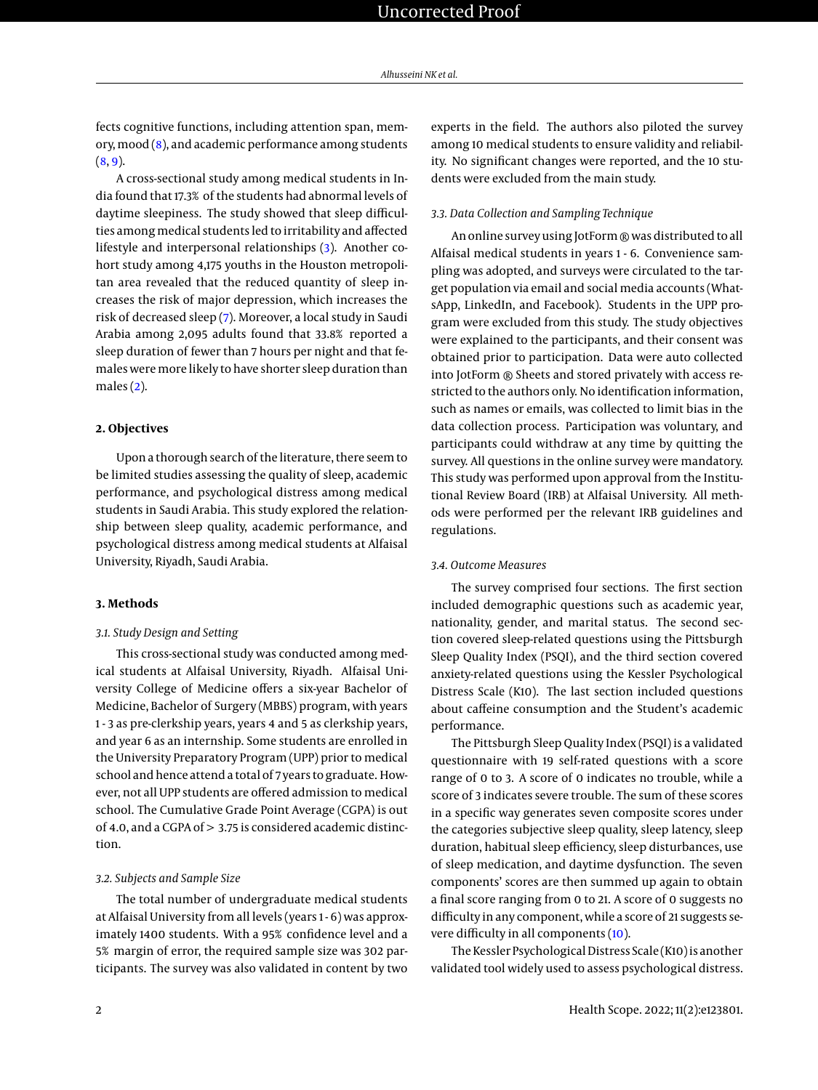fects cognitive functions, including attention span, memory, mood [\(8\)](#page-6-6), and academic performance among students  $(8, 9)$  $(8, 9)$  $(8, 9)$ .

A cross-sectional study among medical students in India found that 17.3% of the students had abnormal levels of daytime sleepiness. The study showed that sleep difficulties among medical students led to irritability and affected lifestyle and interpersonal relationships [\(3\)](#page-6-2). Another cohort study among 4,175 youths in the Houston metropolitan area revealed that the reduced quantity of sleep increases the risk of major depression, which increases the risk of decreased sleep [\(7\)](#page-6-5). Moreover, a local study in Saudi Arabia among 2,095 adults found that 33.8% reported a sleep duration of fewer than 7 hours per night and that females were more likely to have shorter sleep duration than males  $(2)$ .

## **2. Objectives**

Upon a thorough search of the literature, there seem to be limited studies assessing the quality of sleep, academic performance, and psychological distress among medical students in Saudi Arabia. This study explored the relationship between sleep quality, academic performance, and psychological distress among medical students at Alfaisal University, Riyadh, Saudi Arabia.

## **3. Methods**

## *3.1. Study Design and Setting*

This cross-sectional study was conducted among medical students at Alfaisal University, Riyadh. Alfaisal University College of Medicine offers a six-year Bachelor of Medicine, Bachelor of Surgery (MBBS) program, with years 1 - 3 as pre-clerkship years, years 4 and 5 as clerkship years, and year 6 as an internship. Some students are enrolled in the University Preparatory Program (UPP) prior to medical school and hence attend a total of 7 years to graduate. However, not all UPP students are offered admission to medical school. The Cumulative Grade Point Average (CGPA) is out of 4.0, and a CGPA of > 3.75 is considered academic distinction.

#### *3.2. Subjects and Sample Size*

The total number of undergraduate medical students at Alfaisal University from all levels (years 1 - 6) was approximately 1400 students. With a 95% confidence level and a 5% margin of error, the required sample size was 302 participants. The survey was also validated in content by two experts in the field. The authors also piloted the survey among 10 medical students to ensure validity and reliability. No significant changes were reported, and the 10 students were excluded from the main study.

#### *3.3. Data Collection and Sampling Technique*

An online survey using JotForm ® was distributed to all Alfaisal medical students in years 1 - 6. Convenience sampling was adopted, and surveys were circulated to the target population via email and social media accounts (WhatsApp, LinkedIn, and Facebook). Students in the UPP program were excluded from this study. The study objectives were explained to the participants, and their consent was obtained prior to participation. Data were auto collected into JotForm ® Sheets and stored privately with access restricted to the authors only. No identification information, such as names or emails, was collected to limit bias in the data collection process. Participation was voluntary, and participants could withdraw at any time by quitting the survey. All questions in the online survey were mandatory. This study was performed upon approval from the Institutional Review Board (IRB) at Alfaisal University. All methods were performed per the relevant IRB guidelines and regulations.

#### *3.4. Outcome Measures*

The survey comprised four sections. The first section included demographic questions such as academic year, nationality, gender, and marital status. The second section covered sleep-related questions using the Pittsburgh Sleep Quality Index (PSQI), and the third section covered anxiety-related questions using the Kessler Psychological Distress Scale (K10). The last section included questions about caffeine consumption and the Student's academic performance.

The Pittsburgh Sleep Quality Index (PSQI) is a validated questionnaire with 19 self-rated questions with a score range of 0 to 3. A score of 0 indicates no trouble, while a score of 3 indicates severe trouble. The sum of these scores in a specific way generates seven composite scores under the categories subjective sleep quality, sleep latency, sleep duration, habitual sleep efficiency, sleep disturbances, use of sleep medication, and daytime dysfunction. The seven components' scores are then summed up again to obtain a final score ranging from 0 to 21. A score of 0 suggests no difficulty in any component, while a score of 21 suggests severe difficulty in all components [\(10\)](#page-6-8).

The Kessler Psychological Distress Scale (K10) is another validated tool widely used to assess psychological distress.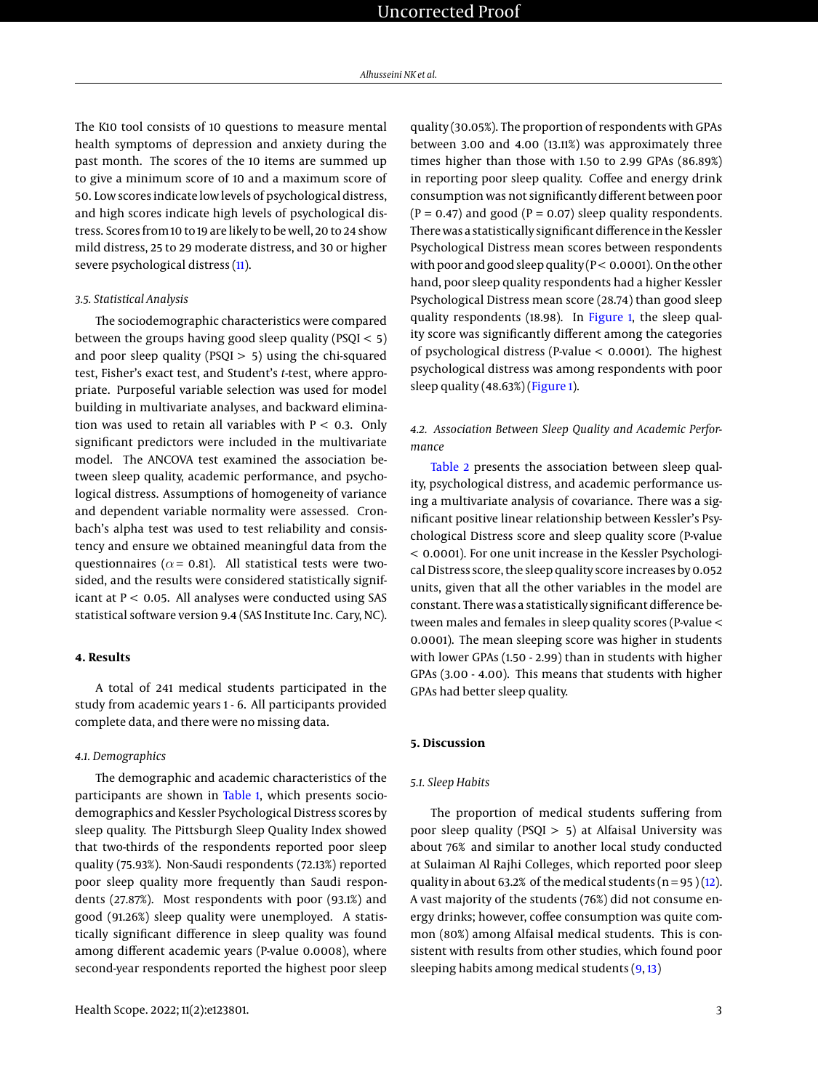The K10 tool consists of 10 questions to measure mental health symptoms of depression and anxiety during the past month. The scores of the 10 items are summed up to give a minimum score of 10 and a maximum score of 50. Low scores indicate low levels of psychological distress, and high scores indicate high levels of psychological distress. Scores from 10 to 19 are likely to be well, 20 to 24 show mild distress, 25 to 29 moderate distress, and 30 or higher severe psychological distress [\(11\)](#page-6-9).

#### *3.5. Statistical Analysis*

The sociodemographic characteristics were compared between the groups having good sleep quality (PSQI < 5) and poor sleep quality (PSQI  $>$  5) using the chi-squared test, Fisher's exact test, and Student's *t*-test, where appropriate. Purposeful variable selection was used for model building in multivariate analyses, and backward elimination was used to retain all variables with  $P < 0.3$ . Only significant predictors were included in the multivariate model. The ANCOVA test examined the association between sleep quality, academic performance, and psychological distress. Assumptions of homogeneity of variance and dependent variable normality were assessed. Cronbach's alpha test was used to test reliability and consistency and ensure we obtained meaningful data from the questionnaires ( $\alpha$  = 0.81). All statistical tests were twosided, and the results were considered statistically significant at  $P < 0.05$ . All analyses were conducted using SAS statistical software version 9.4 (SAS Institute Inc. Cary, NC).

## **4. Results**

A total of 241 medical students participated in the study from academic years 1 - 6. All participants provided complete data, and there were no missing data.

#### *4.1. Demographics*

The demographic and academic characteristics of the participants are shown in [Table 1,](#page-3-0) which presents sociodemographics and Kessler Psychological Distress scores by sleep quality. The Pittsburgh Sleep Quality Index showed that two-thirds of the respondents reported poor sleep quality (75.93%). Non-Saudi respondents (72.13%) reported poor sleep quality more frequently than Saudi respondents (27.87%). Most respondents with poor (93.1%) and good (91.26%) sleep quality were unemployed. A statistically significant difference in sleep quality was found among different academic years (P-value 0.0008), where second-year respondents reported the highest poor sleep

quality (30.05%). The proportion of respondents with GPAs between 3.00 and 4.00 (13.11%) was approximately three times higher than those with 1.50 to 2.99 GPAs (86.89%) in reporting poor sleep quality. Coffee and energy drink consumption was not significantly different between poor  $(P = 0.47)$  and good  $(P = 0.07)$  sleep quality respondents. There was a statistically significant difference in the Kessler Psychological Distress mean scores between respondents with poor and good sleep quality  $(P < 0.0001)$ . On the other hand, poor sleep quality respondents had a higher Kessler Psychological Distress mean score (28.74) than good sleep quality respondents (18.98). In [Figure 1,](#page-4-0) the sleep quality score was significantly different among the categories of psychological distress (P-value < 0.0001). The highest psychological distress was among respondents with poor sleep quality (48.63%) [\(Figure 1\)](#page-4-0).

## *4.2. Association Between Sleep Quality and Academic Performance*

[Table 2](#page-4-1) presents the association between sleep quality, psychological distress, and academic performance using a multivariate analysis of covariance. There was a significant positive linear relationship between Kessler's Psychological Distress score and sleep quality score (P-value < 0.0001). For one unit increase in the Kessler Psychological Distress score, the sleep quality score increases by 0.052 units, given that all the other variables in the model are constant. There was a statistically significant difference between males and females in sleep quality scores (P-value < 0.0001). The mean sleeping score was higher in students with lower GPAs (1.50 - 2.99) than in students with higher GPAs (3.00 - 4.00). This means that students with higher GPAs had better sleep quality.

## **5. Discussion**

#### *5.1. Sleep Habits*

The proportion of medical students suffering from poor sleep quality (PSQI  $> 5$ ) at Alfaisal University was about 76% and similar to another local study conducted at Sulaiman Al Rajhi Colleges, which reported poor sleep quality in about 63.2% of the medical students  $(n = 95)(12)$  $(n = 95)(12)$ . A vast majority of the students (76%) did not consume energy drinks; however, coffee consumption was quite common (80%) among Alfaisal medical students. This is consistent with results from other studies, which found poor sleeping habits among medical students [\(9,](#page-6-7) [13\)](#page-6-11)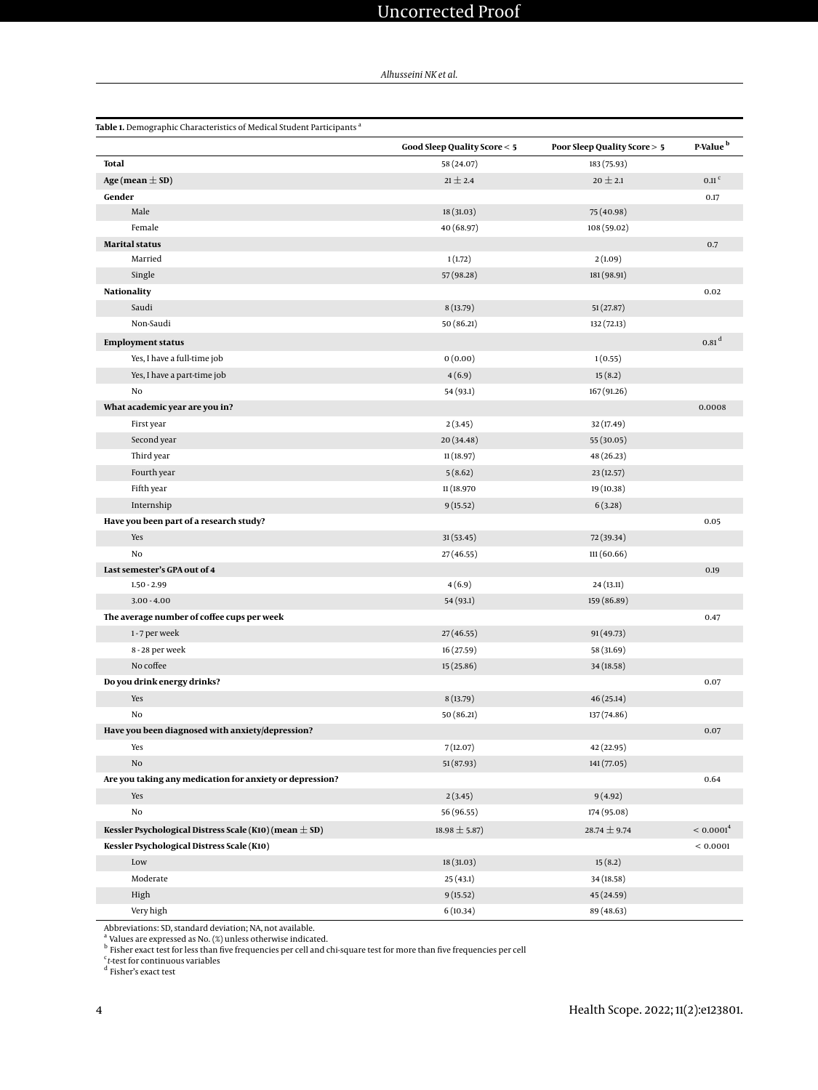<span id="page-3-0"></span>

| <b>Table 1.</b> Demographic Characteristics of Medical Student Participants <sup>a</sup> |                              |                                        |                       |  |
|------------------------------------------------------------------------------------------|------------------------------|----------------------------------------|-----------------------|--|
|                                                                                          | Good Sleep Quality Score < 5 | <b>Poor Sleep Quality Score &gt; 5</b> | P-Value <sup>b</sup>  |  |
| <b>Total</b>                                                                             | 58 (24.07)                   | 183 (75.93)                            |                       |  |
| Age (mean $\pm$ SD)                                                                      | $21 \pm 2.4$                 | $20 \pm 2.1$                           | $0.11$ <sup>c</sup>   |  |
| Gender                                                                                   |                              |                                        | 0.17                  |  |
| Male                                                                                     | 18 (31.03)                   | 75 (40.98)                             |                       |  |
| Female                                                                                   | 40 (68.97)                   | 108 (59.02)                            |                       |  |
| <b>Marital status</b>                                                                    |                              |                                        | 0.7                   |  |
| Married                                                                                  | 1(1.72)                      | 2(1.09)                                |                       |  |
| Single                                                                                   | 57 (98.28)                   | 181 (98.91)                            |                       |  |
| <b>Nationality</b>                                                                       |                              |                                        | 0.02                  |  |
| Saudi                                                                                    | 8(13.79)                     | 51(27.87)                              |                       |  |
| Non-Saudi                                                                                | 50 (86.21)                   | 132 (72.13)                            |                       |  |
| <b>Employment status</b>                                                                 |                              |                                        | $0.81^{\rm d}$        |  |
| Yes, I have a full-time job                                                              | 0(0.00)                      | 1(0.55)                                |                       |  |
| Yes, I have a part-time job                                                              | 4(6.9)                       | 15(8.2)                                |                       |  |
| No                                                                                       | 54 (93.1)                    | 167 (91.26)                            |                       |  |
| What academic year are you in?                                                           |                              |                                        | 0.0008                |  |
| First year                                                                               | 2(3.45)                      | 32 (17.49)                             |                       |  |
| Second year                                                                              | 20 (34.48)                   | 55 (30.05)                             |                       |  |
| Third year                                                                               | 11(18.97)                    | 48 (26.23)                             |                       |  |
| Fourth year                                                                              | 5(8.62)                      | 23(12.57)                              |                       |  |
| Fifth year                                                                               | 11 (18.970                   | 19 (10.38)                             |                       |  |
| Internship                                                                               | 9(15.52)                     | 6(3.28)                                |                       |  |
| Have you been part of a research study?                                                  |                              |                                        | 0.05                  |  |
| Yes                                                                                      | 31(53.45)                    | 72 (39.34)                             |                       |  |
| No                                                                                       | 27 (46.55)                   | 111 (60.66)                            |                       |  |
| Last semester's GPA out of 4                                                             |                              |                                        | 0.19                  |  |
| $1.50 - 2.99$                                                                            | 4(6.9)                       | 24 (13.11)                             |                       |  |
| $3.00 - 4.00$                                                                            | 54 (93.1)                    | 159 (86.89)                            |                       |  |
| The average number of coffee cups per week                                               |                              |                                        | 0.47                  |  |
| 1-7 per week                                                                             | 27 (46.55)                   | 91 (49.73)                             |                       |  |
| 8 - 28 per week                                                                          | 16 (27.59)                   | 58 (31.69)                             |                       |  |
| No coffee                                                                                | 15 (25.86)                   | 34 (18.58)                             |                       |  |
| Do you drink energy drinks?                                                              |                              |                                        | 0.07                  |  |
| Yes                                                                                      | 8(13.79)                     | 46(25.14)                              |                       |  |
| No                                                                                       | 50 (86.21)                   | 137 (74.86)                            |                       |  |
| Have you been diagnosed with anxiety/depression?                                         |                              |                                        | 0.07                  |  |
| Yes                                                                                      | 7(12.07)                     | 42 (22.95)                             |                       |  |
| No                                                                                       | 51(87.93)                    | 141 (77.05)                            |                       |  |
| Are you taking any medication for anxiety or depression?                                 |                              |                                        | 0.64                  |  |
| Yes                                                                                      | 2(3.45)                      | 9(4.92)                                |                       |  |
| No                                                                                       | 56 (96.55)                   | 174 (95.08)                            |                       |  |
|                                                                                          |                              |                                        | < 0.0001 <sup>4</sup> |  |
| Kessler Psychological Distress Scale (K10) (mean $\pm$ SD)                               | $18.98 \pm 5.87$             | $28.74 \pm 9.74$                       |                       |  |
| Kessler Psychological Distress Scale (K10)                                               |                              |                                        | ${}< 0.0001$          |  |
| Low                                                                                      | 18 (31.03)                   | 15(8.2)                                |                       |  |
| Moderate                                                                                 | 25(43.1)                     | 34 (18.58)                             |                       |  |
| High                                                                                     | 9(15.52)                     | 45 (24.59)                             |                       |  |
| Very high                                                                                | 6(10.34)                     | 89 (48.63)                             |                       |  |

Abbreviations: SD, standard deviation; NA, not available.<br><sup>a</sup> Values are expressed as No. (%) unless otherwise indicated.<br><sup>b</sup> Fisher exact test for less than five frequencies per cell and chi-square test for more than five

c *t*-test for continuous variables d Fisher's exact test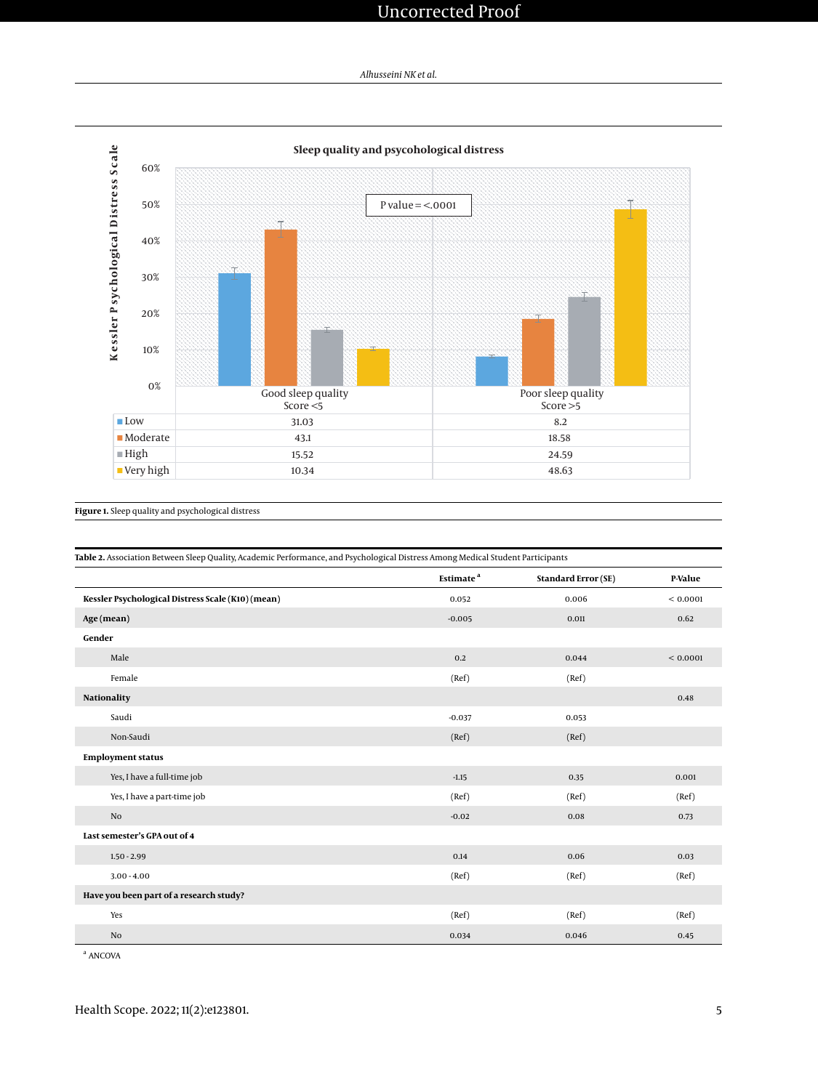## Uncorrected Proof

*Alhusseini NK et al.*

<span id="page-4-0"></span>

**Figure 1.** Sleep quality and psychological distress

<span id="page-4-1"></span>

| Table 2. Association Between Sleep Quality, Academic Performance, and Psychological Distress Among Medical Student Participants |                       |                            |          |  |
|---------------------------------------------------------------------------------------------------------------------------------|-----------------------|----------------------------|----------|--|
|                                                                                                                                 | Estimate <sup>a</sup> | <b>Standard Error (SE)</b> | P-Value  |  |
| Kessler Psychological Distress Scale (K10) (mean)                                                                               | 0.052                 | 0.006                      | < 0.0001 |  |
| Age (mean)                                                                                                                      | $-0.005$              | 0.011                      | 0.62     |  |
| Gender                                                                                                                          |                       |                            |          |  |
| Male                                                                                                                            | 0.2                   | 0.044                      | < 0.0001 |  |
| Female                                                                                                                          | (Ref)                 | (Ref)                      |          |  |
| <b>Nationality</b>                                                                                                              |                       |                            | 0.48     |  |
| Saudi                                                                                                                           | $-0.037$              | 0.053                      |          |  |
| Non-Saudi                                                                                                                       | (Ref)                 | (Ref)                      |          |  |
| <b>Employment status</b>                                                                                                        |                       |                            |          |  |
| Yes, I have a full-time job                                                                                                     | $-1.15$               | 0.35                       | 0.001    |  |
| Yes, I have a part-time job                                                                                                     | (Ref)                 | (Ref)                      | (Ref)    |  |
| No                                                                                                                              | $-0.02$               | 0.08                       | 0.73     |  |
| Last semester's GPA out of 4                                                                                                    |                       |                            |          |  |
| $1.50 - 2.99$                                                                                                                   | 0.14                  | 0.06                       | 0.03     |  |
| $3.00 - 4.00$                                                                                                                   | (Ref)                 | (Ref)                      | (Ref)    |  |
| Have you been part of a research study?                                                                                         |                       |                            |          |  |
| Yes                                                                                                                             | (Ref)                 | (Ref)                      | (Ref)    |  |
| No                                                                                                                              | 0.034                 | 0.046                      | 0.45     |  |

<sup>a</sup> ANCOVA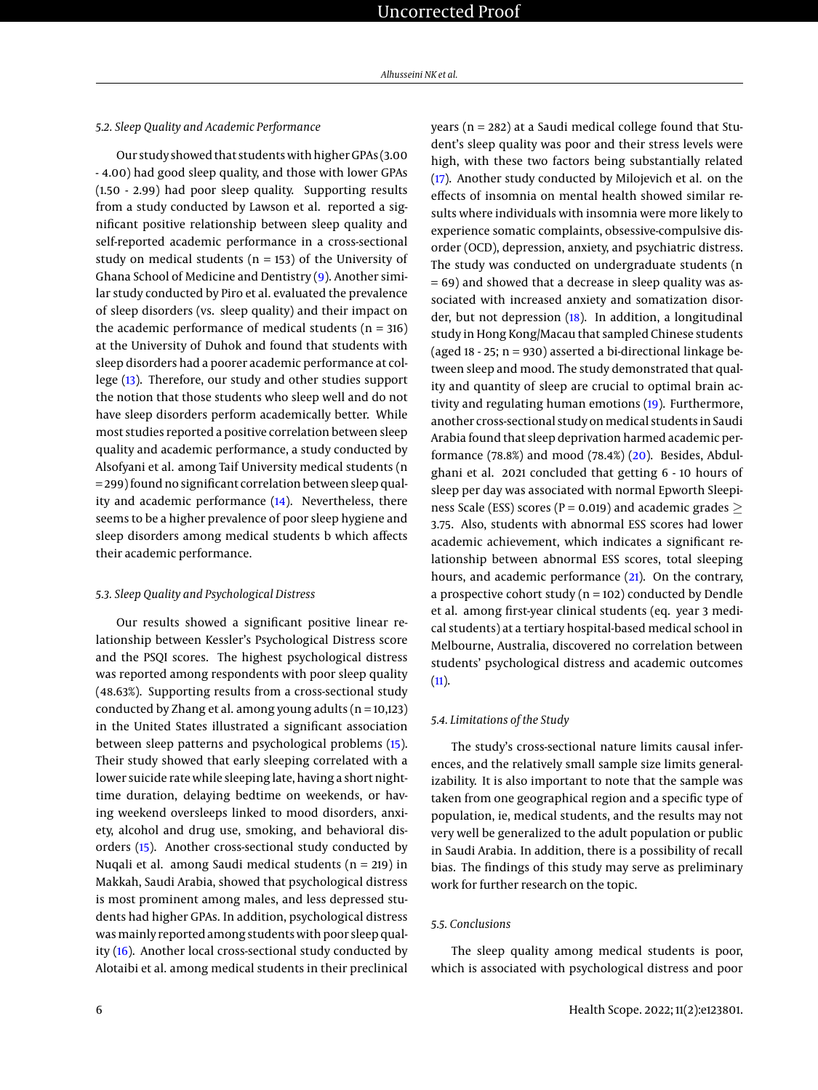#### *5.2. Sleep Quality and Academic Performance*

Our study showed that students with higher GPAs (3.00 - 4.00) had good sleep quality, and those with lower GPAs (1.50 - 2.99) had poor sleep quality. Supporting results from a study conducted by Lawson et al. reported a significant positive relationship between sleep quality and self-reported academic performance in a cross-sectional study on medical students ( $n = 153$ ) of the University of Ghana School of Medicine and Dentistry [\(9\)](#page-6-7). Another similar study conducted by Piro et al. evaluated the prevalence of sleep disorders (vs. sleep quality) and their impact on the academic performance of medical students  $(n = 316)$ at the University of Duhok and found that students with sleep disorders had a poorer academic performance at college [\(13\)](#page-6-11). Therefore, our study and other studies support the notion that those students who sleep well and do not have sleep disorders perform academically better. While most studies reported a positive correlation between sleep quality and academic performance, a study conducted by Alsofyani et al. among Taif University medical students (n = 299) found no significant correlation between sleep quality and academic performance [\(14\)](#page-6-12). Nevertheless, there seems to be a higher prevalence of poor sleep hygiene and sleep disorders among medical students b which affects their academic performance.

## *5.3. Sleep Quality and Psychological Distress*

Our results showed a significant positive linear relationship between Kessler's Psychological Distress score and the PSQI scores. The highest psychological distress was reported among respondents with poor sleep quality (48.63%). Supporting results from a cross-sectional study conducted by Zhang et al. among young adults  $(n = 10,123)$ in the United States illustrated a significant association between sleep patterns and psychological problems [\(15\)](#page-6-13). Their study showed that early sleeping correlated with a lower suicide rate while sleeping late, having a short nighttime duration, delaying bedtime on weekends, or having weekend oversleeps linked to mood disorders, anxiety, alcohol and drug use, smoking, and behavioral disorders [\(15\)](#page-6-13). Another cross-sectional study conducted by Nuqali et al. among Saudi medical students ( $n = 219$ ) in Makkah, Saudi Arabia, showed that psychological distress is most prominent among males, and less depressed students had higher GPAs. In addition, psychological distress was mainly reported among students with poor sleep quality [\(16\)](#page-6-14). Another local cross-sectional study conducted by Alotaibi et al. among medical students in their preclinical

years (n = 282) at a Saudi medical college found that Student's sleep quality was poor and their stress levels were high, with these two factors being substantially related [\(17\)](#page-6-15). Another study conducted by Milojevich et al. on the effects of insomnia on mental health showed similar results where individuals with insomnia were more likely to experience somatic complaints, obsessive-compulsive disorder (OCD), depression, anxiety, and psychiatric distress. The study was conducted on undergraduate students (n  $= 69$ ) and showed that a decrease in sleep quality was associated with increased anxiety and somatization disorder, but not depression [\(18\)](#page-6-16). In addition, a longitudinal study in Hong Kong/Macau that sampled Chinese students (aged  $18 - 25$ ;  $n = 930$ ) asserted a bi-directional linkage between sleep and mood. The study demonstrated that quality and quantity of sleep are crucial to optimal brain activity and regulating human emotions [\(19\)](#page-6-17). Furthermore, another cross-sectional study on medical students in Saudi Arabia found that sleep deprivation harmed academic performance (78.8%) and mood (78.4%)  $(20)$ . Besides, Abdulghani et al. 2021 concluded that getting 6 - 10 hours of sleep per day was associated with normal Epworth Sleepiness Scale (ESS) scores ( $P = 0.019$ ) and academic grades  $>$ 3.75. Also, students with abnormal ESS scores had lower academic achievement, which indicates a significant relationship between abnormal ESS scores, total sleeping hours, and academic performance [\(21\)](#page-7-1). On the contrary, a prospective cohort study ( $n = 102$ ) conducted by Dendle et al. among first-year clinical students (eq. year 3 medical students) at a tertiary hospital-based medical school in Melbourne, Australia, discovered no correlation between students' psychological distress and academic outcomes  $(11).$  $(11).$ 

## *5.4. Limitations of the Study*

The study's cross-sectional nature limits causal inferences, and the relatively small sample size limits generalizability. It is also important to note that the sample was taken from one geographical region and a specific type of population, ie, medical students, and the results may not very well be generalized to the adult population or public in Saudi Arabia. In addition, there is a possibility of recall bias. The findings of this study may serve as preliminary work for further research on the topic.

## *5.5. Conclusions*

The sleep quality among medical students is poor, which is associated with psychological distress and poor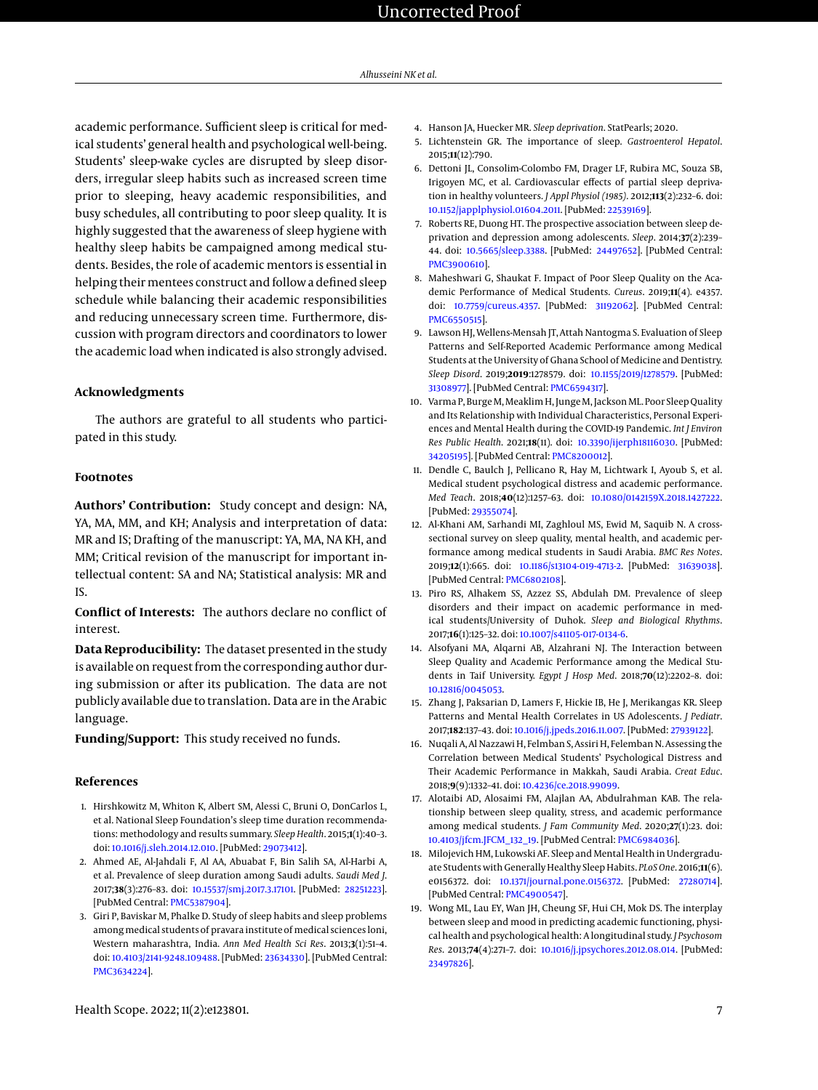academic performance. Sufficient sleep is critical for medical students' general health and psychological well-being. Students' sleep-wake cycles are disrupted by sleep disorders, irregular sleep habits such as increased screen time prior to sleeping, heavy academic responsibilities, and busy schedules, all contributing to poor sleep quality. It is highly suggested that the awareness of sleep hygiene with healthy sleep habits be campaigned among medical students. Besides, the role of academic mentors is essential in helping their mentees construct and follow a defined sleep schedule while balancing their academic responsibilities and reducing unnecessary screen time. Furthermore, discussion with program directors and coordinators to lower the academic load when indicated is also strongly advised.

## **Acknowledgments**

The authors are grateful to all students who participated in this study.

#### **Footnotes**

**Authors' Contribution:** Study concept and design: NA, YA, MA, MM, and KH; Analysis and interpretation of data: MR and IS; Drafting of the manuscript: YA, MA, NA KH, and MM; Critical revision of the manuscript for important intellectual content: SA and NA; Statistical analysis: MR and IS.

**Conflict of Interests:** The authors declare no conflict of interest.

**Data Reproducibility:** The dataset presented in the study is available on request from the corresponding author during submission or after its publication. The data are not publicly available due to translation. Data are in the Arabic language.

**Funding/Support:** This study received no funds.

#### **References**

- <span id="page-6-0"></span>1. Hirshkowitz M, Whiton K, Albert SM, Alessi C, Bruni O, DonCarlos L, et al. National Sleep Foundation's sleep time duration recommendations: methodology and results summary. *Sleep Health*. 2015;**1**(1):40–3. doi: [10.1016/j.sleh.2014.12.010.](http://dx.doi.org/10.1016/j.sleh.2014.12.010) [PubMed: [29073412\]](http://www.ncbi.nlm.nih.gov/pubmed/29073412).
- <span id="page-6-1"></span>2. Ahmed AE, Al-Jahdali F, Al AA, Abuabat F, Bin Salih SA, Al-Harbi A, et al. Prevalence of sleep duration among Saudi adults. *Saudi Med J*. 2017;**38**(3):276–83. doi: [10.15537/smj.2017.3.17101.](http://dx.doi.org/10.15537/smj.2017.3.17101) [PubMed: [28251223\]](http://www.ncbi.nlm.nih.gov/pubmed/28251223). [PubMed Central: [PMC5387904\]](https://www.ncbi.nlm.nih.gov/pmc/articles/PMC5387904).
- <span id="page-6-2"></span>3. Giri P, Baviskar M, Phalke D. Study of sleep habits and sleep problems among medical students of pravara institute of medical sciences loni, Western maharashtra, India. *Ann Med Health Sci Res*. 2013;**3**(1):51–4. doi: [10.4103/2141-9248.109488.](http://dx.doi.org/10.4103/2141-9248.109488) [PubMed: [23634330\]](http://www.ncbi.nlm.nih.gov/pubmed/23634330). [PubMed Central: [PMC3634224\]](https://www.ncbi.nlm.nih.gov/pmc/articles/PMC3634224).
- <span id="page-6-3"></span>4. Hanson JA, Huecker MR. *Sleep deprivation*. StatPearls; 2020.
- <span id="page-6-4"></span>5. Lichtenstein GR. The importance of sleep. *Gastroenterol Hepatol*. 2015;**11**(12):790.
- 6. Dettoni JL, Consolim-Colombo FM, Drager LF, Rubira MC, Souza SB, Irigoyen MC, et al. Cardiovascular effects of partial sleep deprivation in healthy volunteers. *J Appl Physiol (1985)*. 2012;**113**(2):232–6. doi: [10.1152/japplphysiol.01604.2011.](http://dx.doi.org/10.1152/japplphysiol.01604.2011) [PubMed: [22539169\]](http://www.ncbi.nlm.nih.gov/pubmed/22539169).
- <span id="page-6-5"></span>7. Roberts RE, Duong HT. The prospective association between sleep deprivation and depression among adolescents. *Sleep*. 2014;**37**(2):239– 44. doi: [10.5665/sleep.3388.](http://dx.doi.org/10.5665/sleep.3388) [PubMed: [24497652\]](http://www.ncbi.nlm.nih.gov/pubmed/24497652). [PubMed Central: [PMC3900610\]](https://www.ncbi.nlm.nih.gov/pmc/articles/PMC3900610).
- <span id="page-6-6"></span>8. Maheshwari G, Shaukat F. Impact of Poor Sleep Quality on the Academic Performance of Medical Students. *Cureus*. 2019;**11**(4). e4357. doi: [10.7759/cureus.4357.](http://dx.doi.org/10.7759/cureus.4357) [PubMed: [31192062\]](http://www.ncbi.nlm.nih.gov/pubmed/31192062). [PubMed Central: [PMC6550515\]](https://www.ncbi.nlm.nih.gov/pmc/articles/PMC6550515).
- <span id="page-6-7"></span>9. Lawson HJ, Wellens-Mensah JT, Attah Nantogma S. Evaluation of Sleep Patterns and Self-Reported Academic Performance among Medical Students at the University of Ghana School of Medicine and Dentistry. *Sleep Disord*. 2019;**2019**:1278579. doi: [10.1155/2019/1278579.](http://dx.doi.org/10.1155/2019/1278579) [PubMed: [31308977\]](http://www.ncbi.nlm.nih.gov/pubmed/31308977). [PubMed Central: [PMC6594317\]](https://www.ncbi.nlm.nih.gov/pmc/articles/PMC6594317).
- <span id="page-6-8"></span>10. Varma P, Burge M, Meaklim H, Junge M, Jackson ML. Poor Sleep Quality and Its Relationship with Individual Characteristics, Personal Experiences and Mental Health during the COVID-19 Pandemic. *Int J Environ Res Public Health*. 2021;**18**(11). doi: [10.3390/ijerph18116030.](http://dx.doi.org/10.3390/ijerph18116030) [PubMed: [34205195\]](http://www.ncbi.nlm.nih.gov/pubmed/34205195). [PubMed Central: [PMC8200012\]](https://www.ncbi.nlm.nih.gov/pmc/articles/PMC8200012).
- <span id="page-6-9"></span>11. Dendle C, Baulch J, Pellicano R, Hay M, Lichtwark I, Ayoub S, et al. Medical student psychological distress and academic performance. *Med Teach*. 2018;**40**(12):1257–63. doi: [10.1080/0142159X.2018.1427222.](http://dx.doi.org/10.1080/0142159X.2018.1427222) [PubMed: [29355074\]](http://www.ncbi.nlm.nih.gov/pubmed/29355074).
- <span id="page-6-10"></span>12. Al-Khani AM, Sarhandi MI, Zaghloul MS, Ewid M, Saquib N. A crosssectional survey on sleep quality, mental health, and academic performance among medical students in Saudi Arabia. *BMC Res Notes*. 2019;**12**(1):665. doi: [10.1186/s13104-019-4713-2.](http://dx.doi.org/10.1186/s13104-019-4713-2) [PubMed: [31639038\]](http://www.ncbi.nlm.nih.gov/pubmed/31639038). [PubMed Central: [PMC6802108\]](https://www.ncbi.nlm.nih.gov/pmc/articles/PMC6802108).
- <span id="page-6-11"></span>13. Piro RS, Alhakem SS, Azzez SS, Abdulah DM. Prevalence of sleep disorders and their impact on academic performance in medical students/University of Duhok. *Sleep and Biological Rhythms*. 2017;**16**(1):125–32. doi: [10.1007/s41105-017-0134-6.](http://dx.doi.org/10.1007/s41105-017-0134-6)
- <span id="page-6-12"></span>14. Alsofyani MA, Alqarni AB, Alzahrani NJ. The Interaction between Sleep Quality and Academic Performance among the Medical Students in Taif University. *Egypt J Hosp Med*. 2018;**70**(12):2202–8. doi: [10.12816/0045053.](http://dx.doi.org/10.12816/0045053)
- <span id="page-6-13"></span>15. Zhang J, Paksarian D, Lamers F, Hickie IB, He J, Merikangas KR. Sleep Patterns and Mental Health Correlates in US Adolescents. *J Pediatr*. 2017;**182**:137–43. doi: [10.1016/j.jpeds.2016.11.007.](http://dx.doi.org/10.1016/j.jpeds.2016.11.007) [PubMed: [27939122\]](http://www.ncbi.nlm.nih.gov/pubmed/27939122).
- <span id="page-6-14"></span>16. Nuqali A, Al Nazzawi H, Felmban S, Assiri H, Felemban N. Assessing the Correlation between Medical Students' Psychological Distress and Their Academic Performance in Makkah, Saudi Arabia. *Creat Educ*. 2018;**9**(9):1332–41. doi: [10.4236/ce.2018.99099.](http://dx.doi.org/10.4236/ce.2018.99099)
- <span id="page-6-15"></span>17. Alotaibi AD, Alosaimi FM, Alajlan AA, Abdulrahman KAB. The relationship between sleep quality, stress, and academic performance among medical students. *J Fam Community Med*. 2020;**27**(1):23. doi: [10.4103/jfcm.JFCM\\_132\\_19.](http://dx.doi.org/10.4103/jfcm.JFCM_132_19) [PubMed Central: [PMC6984036\]](https://www.ncbi.nlm.nih.gov/pmc/articles/PMC6984036).
- <span id="page-6-16"></span>18. Milojevich HM, Lukowski AF. Sleep and Mental Health in Undergraduate Students with Generally Healthy Sleep Habits. *PLoS One*. 2016;**11**(6). e0156372. doi: [10.1371/journal.pone.0156372.](http://dx.doi.org/10.1371/journal.pone.0156372) [PubMed: [27280714\]](http://www.ncbi.nlm.nih.gov/pubmed/27280714). [PubMed Central: [PMC4900547\]](https://www.ncbi.nlm.nih.gov/pmc/articles/PMC4900547).
- <span id="page-6-17"></span>19. Wong ML, Lau EY, Wan JH, Cheung SF, Hui CH, Mok DS. The interplay between sleep and mood in predicting academic functioning, physical health and psychological health: A longitudinal study. *J Psychosom Res*. 2013;**74**(4):271–7. doi: [10.1016/j.jpsychores.2012.08.014.](http://dx.doi.org/10.1016/j.jpsychores.2012.08.014) [PubMed: [23497826\]](http://www.ncbi.nlm.nih.gov/pubmed/23497826).